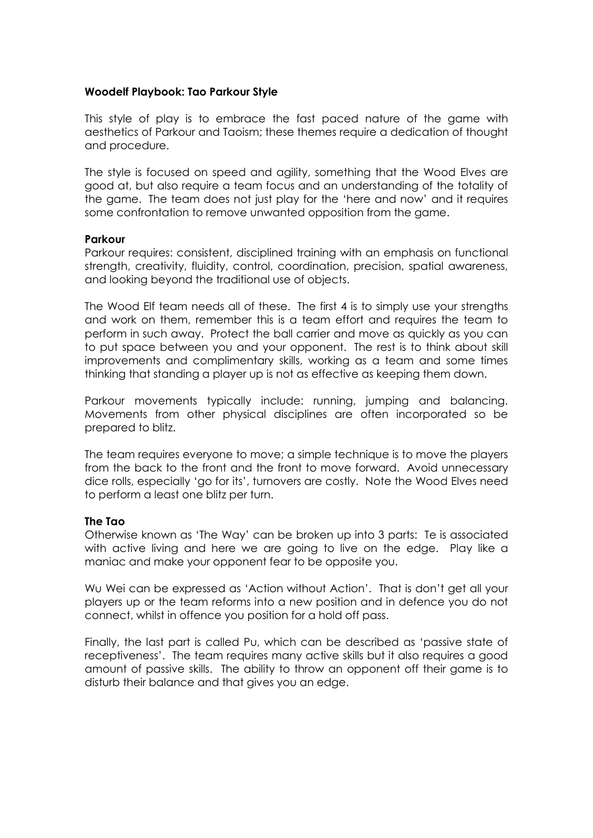## **Woodelf Playbook: Tao Parkour Style**

This style of play is to embrace the fast paced nature of the game with aesthetics of Parkour and Taoism; these themes require a dedication of thought and procedure.

The style is focused on speed and agility, something that the Wood Elves are good at, but also require a team focus and an understanding of the totality of the game. The team does not just play for the 'here and now' and it requires some confrontation to remove unwanted opposition from the game.

## **Parkour**

Parkour requires: consistent, disciplined training with an emphasis on functional strength, creativity, fluidity, control, coordination, precision, spatial awareness, and looking beyond the traditional use of objects.

The Wood Elf team needs all of these. The first 4 is to simply use your strengths and work on them, remember this is a team effort and requires the team to perform in such away. Protect the ball carrier and move as quickly as you can to put space between you and your opponent. The rest is to think about skill improvements and complimentary skills, working as a team and some times thinking that standing a player up is not as effective as keeping them down.

Parkour movements typically include: running, jumping and balancing. Movements from other physical disciplines are often incorporated so be prepared to blitz.

The team requires everyone to move; a simple technique is to move the players from the back to the front and the front to move forward. Avoid unnecessary dice rolls, especially 'go for its', turnovers are costly. Note the Wood Elves need to perform a least one blitz per turn.

## **The Tao**

Otherwise known as 'The Way' can be broken up into 3 parts: Te is associated with active living and here we are going to live on the edge. Play like a maniac and make your opponent fear to be opposite you.

Wu Wei can be expressed as 'Action without Action'. That is don't get all your players up or the team reforms into a new position and in defence you do not connect, whilst in offence you position for a hold off pass.

Finally, the last part is called Pu, which can be described as 'passive state of receptiveness'. The team requires many active skills but it also requires a good amount of passive skills. The ability to throw an opponent off their game is to disturb their balance and that gives you an edge.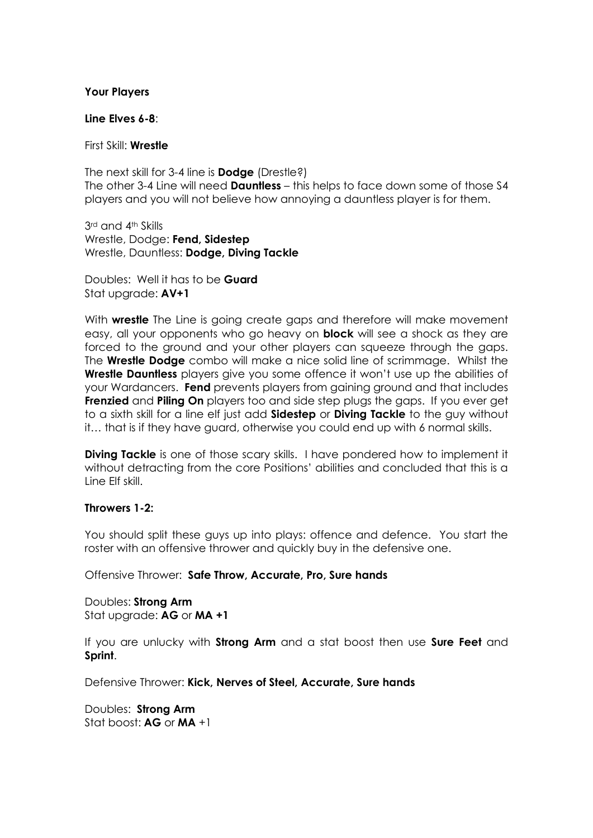#### **Your Players**

#### **Line Elves 6-8**:

#### First Skill: **Wrestle**

The next skill for 3-4 line is **Dodge** (Drestle?) The other 3-4 Line will need **Dauntless** – this helps to face down some of those S4 players and you will not believe how annoying a dauntless player is for them.

3rd and 4th Skills Wrestle, Dodge: **Fend, Sidestep** Wrestle, Dauntless: **Dodge, Diving Tackle**

Doubles: Well it has to be **Guard** Stat upgrade: **AV+1**

With **wrestle** The Line is going create gaps and therefore will make movement easy, all your opponents who go heavy on **block** will see a shock as they are forced to the ground and your other players can squeeze through the gaps. The **Wrestle Dodge** combo will make a nice solid line of scrimmage. Whilst the **Wrestle Dauntless** players give you some offence it won't use up the abilities of your Wardancers. **Fend** prevents players from gaining ground and that includes **Frenzied** and **Piling On** players too and side step plugs the gaps. If you ever get to a sixth skill for a line elf just add **Sidestep** or **Diving Tackle** to the guy without it… that is if they have guard, otherwise you could end up with 6 normal skills.

**Diving Tackle** is one of those scary skills. I have pondered how to implement it without detracting from the core Positions' abilities and concluded that this is a Line Elf skill.

## **Throwers 1-2:**

You should split these guys up into plays: offence and defence. You start the roster with an offensive thrower and quickly buy in the defensive one.

Offensive Thrower: **Safe Throw, Accurate, Pro, Sure hands**

Doubles: **Strong Arm** Stat upgrade: **AG** or **MA +1**

If you are unlucky with **Strong Arm** and a stat boost then use **Sure Feet** and **Sprint**.

Defensive Thrower: **Kick, Nerves of Steel, Accurate, Sure hands**

Doubles: **Strong Arm** Stat boost: **AG** or **MA** +1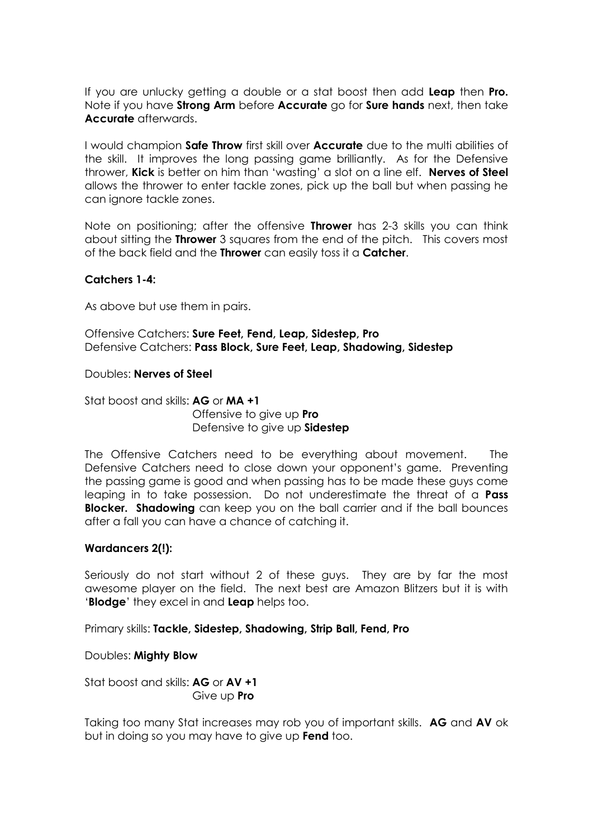If you are unlucky getting a double or a stat boost then add **Leap** then **Pro.** Note if you have **Strong Arm** before **Accurate** go for **Sure hands** next, then take **Accurate** afterwards.

I would champion **Safe Throw** first skill over **Accurate** due to the multi abilities of the skill. It improves the long passing game brilliantly. As for the Defensive thrower, **Kick** is better on him than 'wasting' a slot on a line elf. **Nerves of Steel** allows the thrower to enter tackle zones, pick up the ball but when passing he can ignore tackle zones.

Note on positioning; after the offensive **Thrower** has 2-3 skills you can think about sitting the **Thrower** 3 squares from the end of the pitch. This covers most of the back field and the **Thrower** can easily toss it a **Catcher**.

## **Catchers 1-4:**

As above but use them in pairs.

Offensive Catchers: **Sure Feet, Fend, Leap, Sidestep, Pro** Defensive Catchers: **Pass Block, Sure Feet, Leap, Shadowing, Sidestep**

Doubles: **Nerves of Steel**

Stat boost and skills: **AG** or **MA +1** Offensive to give up **Pro** Defensive to give up **Sidestep**

The Offensive Catchers need to be everything about movement. The Defensive Catchers need to close down your opponent's game. Preventing the passing game is good and when passing has to be made these guys come leaping in to take possession. Do not underestimate the threat of a **Pass Blocker. Shadowing** can keep you on the ball carrier and if the ball bounces after a fall you can have a chance of catching it.

## **Wardancers 2(!):**

Seriously do not start without 2 of these guys. They are by far the most awesome player on the field. The next best are Amazon Blitzers but it is with '**Blodge**' they excel in and **Leap** helps too.

Primary skills: **Tackle, Sidestep, Shadowing, Strip Ball, Fend, Pro**

Doubles: **Mighty Blow**

Stat boost and skills: **AG** or **AV +1** Give up **Pro**

Taking too many Stat increases may rob you of important skills. **AG** and **AV** ok but in doing so you may have to give up **Fend** too.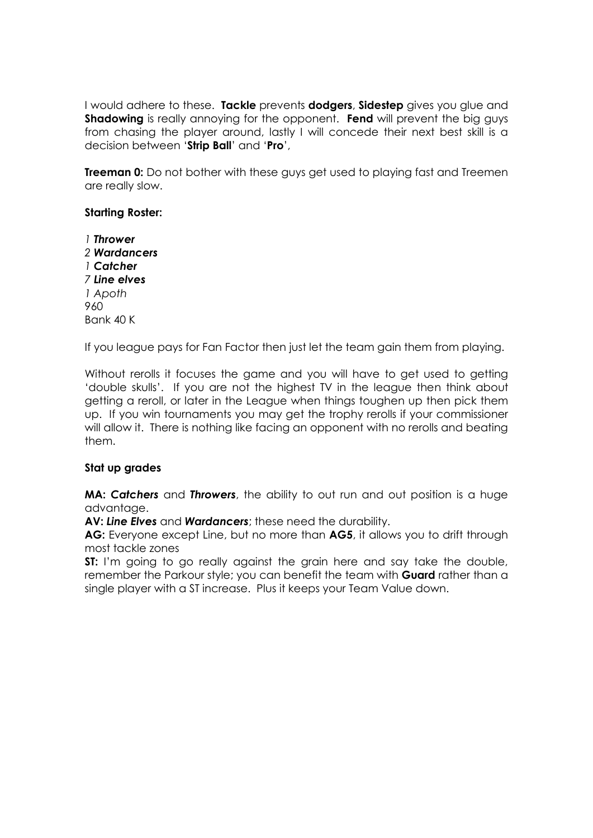I would adhere to these. **Tackle** prevents **dodgers**, **Sidestep** gives you glue and **Shadowing** is really annoying for the opponent. **Fend** will prevent the big guys from chasing the player around, lastly I will concede their next best skill is a decision between '**Strip Ball**' and '**Pro**',

**Treeman 0:** Do not bother with these guys get used to playing fast and Treemen are really slow.

## **Starting Roster:**

*1 Thrower 2 Wardancers 1 Catcher 7 Line elves 1 Apoth* 960 Bank 40 K

If you league pays for Fan Factor then just let the team gain them from playing.

Without rerolls it focuses the game and you will have to get used to getting 'double skulls'. If you are not the highest TV in the league then think about getting a reroll, or later in the League when things toughen up then pick them up. If you win tournaments you may get the trophy rerolls if your commissioner will allow it. There is nothing like facing an opponent with no rerolls and beating them.

## **Stat up grades**

**MA:** *Catchers* and *Throwers*, the ability to out run and out position is a huge advantage.

**AV:** *Line Elves* and *Wardancers*; these need the durability.

**AG:** Everyone except Line, but no more than **AG5**, it allows you to drift through most tackle zones

**ST:** I'm going to go really against the grain here and say take the double, remember the Parkour style; you can benefit the team with **Guard** rather than a single player with a ST increase. Plus it keeps your Team Value down.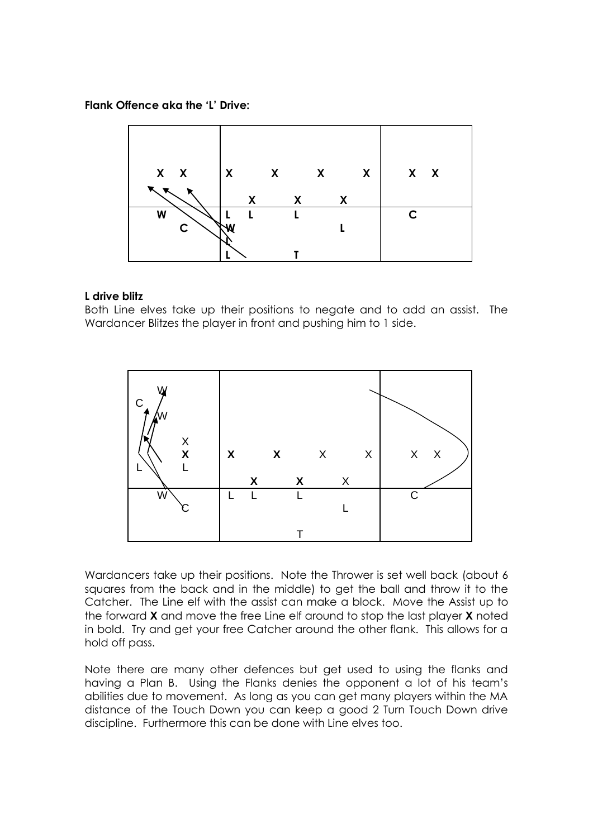## **Flank Offence aka the 'L' Drive:**

| $X$ $X$ | $\boldsymbol{X}$ | $\boldsymbol{\mathsf{X}}$ | $\mathsf{X}$ | $\mathsf{X}$ | $X$ $X$      |
|---------|------------------|---------------------------|--------------|--------------|--------------|
|         | X                | $\boldsymbol{\mathsf{X}}$ | X            |              |              |
| W<br>C  |                  |                           |              |              | $\mathsf{C}$ |
|         |                  |                           |              |              |              |

## **L drive blitz**

Both Line elves take up their positions to negate and to add an assist. The Wardancer Blitzes the player in front and pushing him to 1 side.



Wardancers take up their positions. Note the Thrower is set well back (about 6 squares from the back and in the middle) to get the ball and throw it to the Catcher. The Line elf with the assist can make a block. Move the Assist up to the forward **X** and move the free Line elf around to stop the last player **X** noted in bold. Try and get your free Catcher around the other flank. This allows for a hold off pass.

Note there are many other defences but get used to using the flanks and having a Plan B. Using the Flanks denies the opponent a lot of his team's abilities due to movement. As long as you can get many players within the MA distance of the Touch Down you can keep a good 2 Turn Touch Down drive discipline. Furthermore this can be done with Line elves too.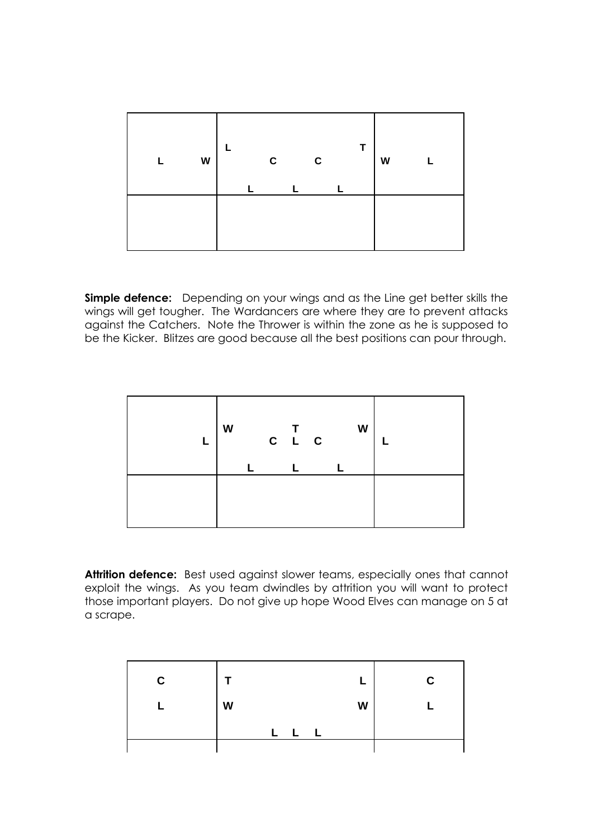| W |  | C | $\mathbf c$ | Т | W |  |
|---|--|---|-------------|---|---|--|
|   |  |   |             |   |   |  |

**Simple defence:** Depending on your wings and as the Line get better skills the wings will get tougher. The Wardancers are where they are to prevent attacks against the Catchers. Note the Thrower is within the zone as he is supposed to be the Kicker. Blitzes are good because all the best positions can pour through.

| W |  | $\begin{array}{cc} & \mathsf{T} \\ \mathsf{C} & \mathsf{L} & \mathsf{C} \end{array}$ |  | W |  |
|---|--|--------------------------------------------------------------------------------------|--|---|--|
|   |  |                                                                                      |  |   |  |

**Attrition defence:** Best used against slower teams, especially ones that cannot exploit the wings. As you team dwindles by attrition you will want to protect those important players. Do not give up hope Wood Elves can manage on 5 at a scrape.

| $\mathbf c$ |         |   | C |
|-------------|---------|---|---|
|             | W       | W |   |
|             | I.<br>L |   |   |
|             |         |   |   |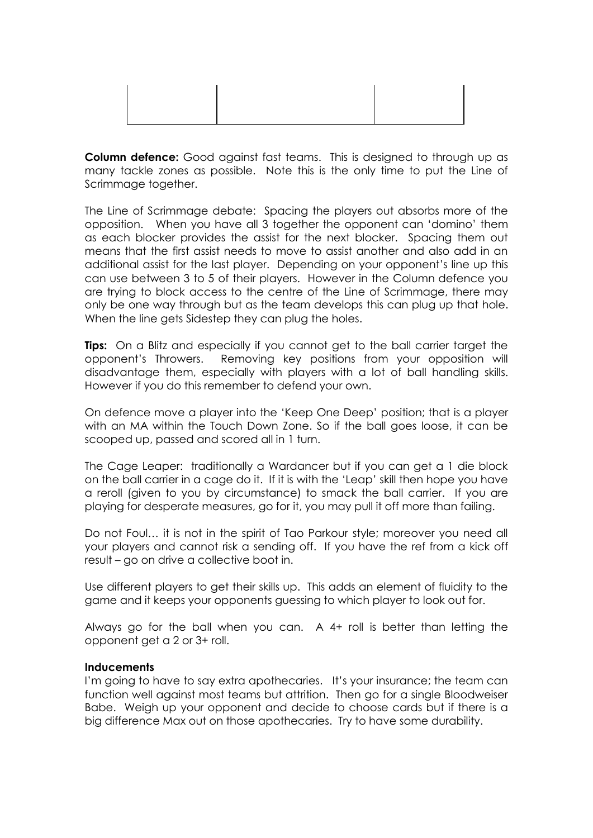**Column defence:** Good against fast teams. This is designed to through up as many tackle zones as possible. Note this is the only time to put the Line of Scrimmage together.

The Line of Scrimmage debate: Spacing the players out absorbs more of the opposition. When you have all 3 together the opponent can 'domino' them as each blocker provides the assist for the next blocker. Spacing them out means that the first assist needs to move to assist another and also add in an additional assist for the last player. Depending on your opponent's line up this can use between 3 to 5 of their players. However in the Column defence you are trying to block access to the centre of the Line of Scrimmage, there may only be one way through but as the team develops this can plug up that hole. When the line gets Sidestep they can plug the holes.

**Tips:** On a Blitz and especially if you cannot get to the ball carrier target the opponent's Throwers. Removing key positions from your opposition will disadvantage them, especially with players with a lot of ball handling skills. However if you do this remember to defend your own.

On defence move a player into the 'Keep One Deep' position; that is a player with an MA within the Touch Down Zone. So if the ball goes loose, it can be scooped up, passed and scored all in 1 turn.

The Cage Leaper: traditionally a Wardancer but if you can get a 1 die block on the ball carrier in a cage do it. If it is with the 'Leap' skill then hope you have a reroll (given to you by circumstance) to smack the ball carrier. If you are playing for desperate measures, go for it, you may pull it off more than failing.

Do not Foul… it is not in the spirit of Tao Parkour style; moreover you need all your players and cannot risk a sending off. If you have the ref from a kick off result – go on drive a collective boot in.

Use different players to get their skills up. This adds an element of fluidity to the game and it keeps your opponents guessing to which player to look out for.

Always go for the ball when you can. A 4+ roll is better than letting the opponent get a 2 or 3+ roll.

## **Inducements**

I'm going to have to say extra apothecaries. It's your insurance; the team can function well against most teams but attrition. Then go for a single Bloodweiser Babe. Weigh up your opponent and decide to choose cards but if there is a big difference Max out on those apothecaries. Try to have some durability.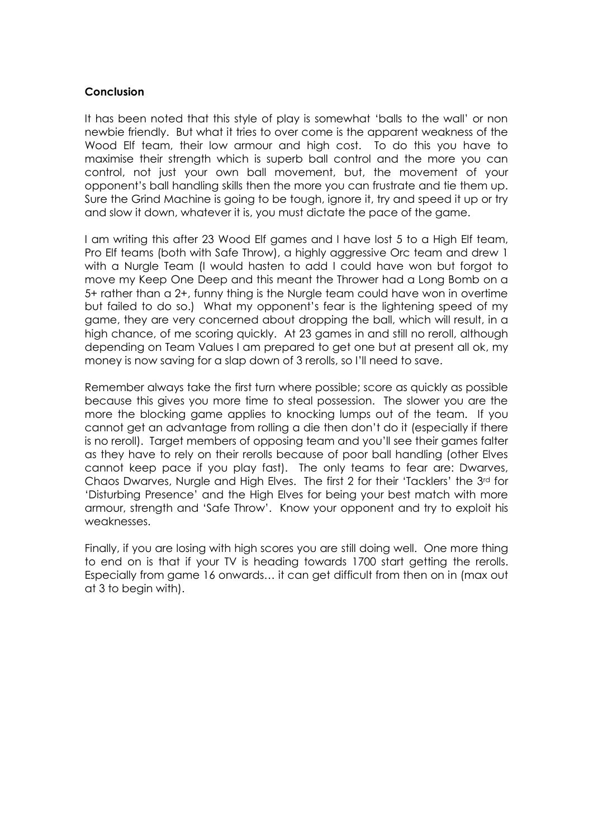#### **Conclusion**

It has been noted that this style of play is somewhat 'balls to the wall' or non newbie friendly. But what it tries to over come is the apparent weakness of the Wood Elf team, their low armour and high cost. To do this you have to maximise their strength which is superb ball control and the more you can control, not just your own ball movement, but, the movement of your opponent's ball handling skills then the more you can frustrate and tie them up. Sure the Grind Machine is going to be tough, ignore it, try and speed it up or try and slow it down, whatever it is, you must dictate the pace of the game.

I am writing this after 23 Wood Elf games and I have lost 5 to a High Elf team, Pro Elf teams (both with Safe Throw), a highly aggressive Orc team and drew 1 with a Nurgle Team (I would hasten to add I could have won but forgot to move my Keep One Deep and this meant the Thrower had a Long Bomb on a 5+ rather than a 2+, funny thing is the Nurgle team could have won in overtime but failed to do so.) What my opponent's fear is the lightening speed of my game, they are very concerned about dropping the ball, which will result, in a high chance, of me scoring quickly. At 23 games in and still no reroll, although depending on Team Values I am prepared to get one but at present all ok, my money is now saving for a slap down of 3 rerolls, so I'll need to save.

Remember always take the first turn where possible; score as quickly as possible because this gives you more time to steal possession. The slower you are the more the blocking game applies to knocking lumps out of the team. If you cannot get an advantage from rolling a die then don't do it (especially if there is no reroll). Taraet members of opposing team and you'll see their games falter as they have to rely on their rerolls because of poor ball handling (other Elves cannot keep pace if you play fast). The only teams to fear are: Dwarves, Chaos Dwarves, Nurgle and High Elves. The first 2 for their 'Tacklers' the 3rd for 'Disturbing Presence' and the High Elves for being your best match with more armour, strength and 'Safe Throw'. Know your opponent and try to exploit his weaknesses.

Finally, if you are losing with high scores you are still doing well. One more thing to end on is that if your TV is heading towards 1700 start getting the rerolls. Especially from game 16 onwards… it can get difficult from then on in (max out at 3 to begin with).